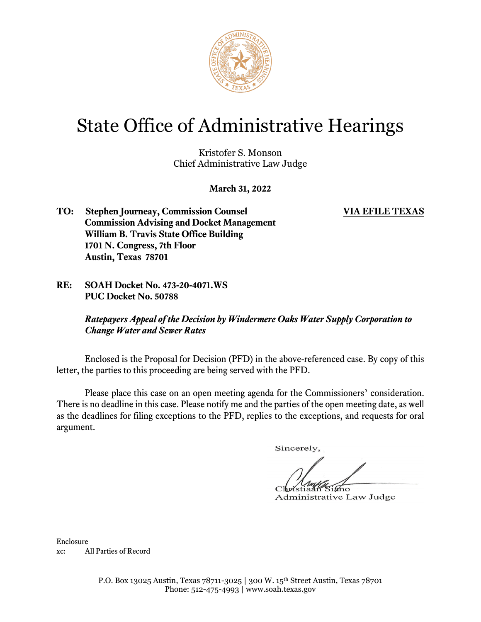

# State Office of Administrative Hearings

Kristofer S. Monson Chief Administrative Law Judge

**March 31, 2022**

- **TO: Stephen Journeay, Commission Counsel VIA EFILE TEXAS Commission Advising and Docket Management William B. Travis State Office Building 1701 N. Congress, 7th Floor Austin, Texas 78701**
- **RE: SOAH Docket No. 473-20-4071.WS PUC Docket No. 50788**

*Ratepayers Appeal of the Decision by Windermere Oaks Water Supply Corporation to Change Water and Sewer Rates*

Enclosed is the Proposal for Decision (PFD) in the above-referenced case. By copy of this letter, the parties to this proceeding are being served with the PFD.

Please place this case on an open meeting agenda for the Commissioners' consideration. There is no deadline in this case. Please notify me and the parties of the open meeting date, as well as the deadlines for filing exceptions to the PFD, replies to the exceptions, and requests for oral argument.

Sincerely.

ano

Administrative Law Judge

Enclosure xc: All Parties of Record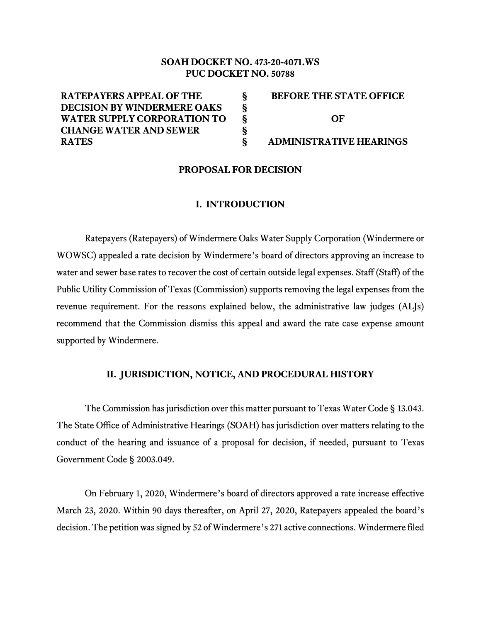# **SOAH DOCKET NO. 473-20-4071.WS PUC DOCKET NO. 50788**

**§ § § § §**

**RATEPAYERS APPEAL OF THE DECISION BY WINDERMERE OAKS WATER SUPPLY CORPORATION TO CHANGE WATER AND SEWER RATES**

**BEFORE THE STATE OFFICE OF ADMINISTRATIVE HEARINGS**

#### **PROPOSAL FOR DECISION**

#### **I. INTRODUCTION**

Ratepayers (Ratepayers) of Windermere Oaks Water Supply Corporation (Windermere or WOWSC) appealed a rate decision by Windermere's board of directors approving an increase to water and sewer base rates to recover the cost of certain outside legal expenses. Staff (Staff) of the Public Utility Commission of Texas (Commission) supports removing the legal expenses from the revenue requirement. For the reasons explained below, the administrative law judges (ALJs) recommend that the Commission dismiss this appeal and award the rate case expense amount supported by Windermere.

#### **II. JURISDICTION, NOTICE, AND PROCEDURAL HISTORY**

The Commission has jurisdiction over this matter pursuant to Texas Water Code § 13.043. The State Office of Administrative Hearings (SOAH) has jurisdiction over matters relating to the conduct of the hearing and issuance of a proposal for decision, if needed, pursuant to Texas Government Code § 2003.049.

On February 1, 2020, Windermere's board of directors approved a rate increase effective March 23, 2020. Within 90 days thereafter, on April 27, 2020, Ratepayers appealed the board's decision. The petition was signed by 52 of Windermere's 271 active connections. Windermere filed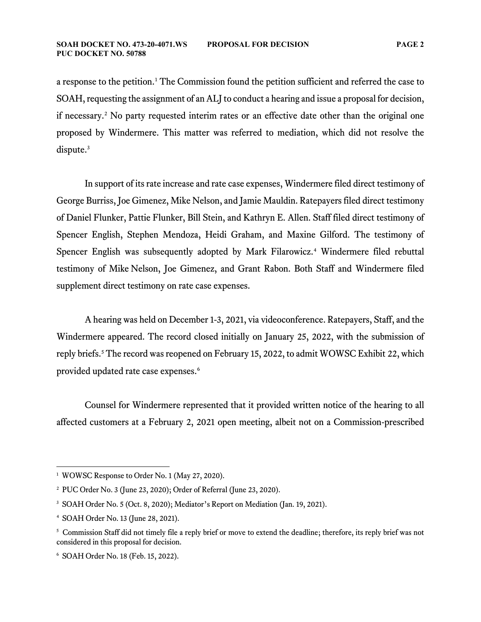a response to the petition. [1](#page-2-0) The Commission found the petition sufficient and referred the case to SOAH, requesting the assignment of an ALJ to conduct a hearing and issue a proposal for decision, if necessary.[2](#page-2-1) No party requested interim rates or an effective date other than the original one proposed by Windermere. This matter was referred to mediation, which did not resolve the dispute.<sup>[3](#page-2-2)</sup>

In support of its rate increase and rate case expenses, Windermere filed direct testimony of George Burriss, Joe Gimenez, Mike Nelson, and Jamie Mauldin. Ratepayers filed direct testimony of Daniel Flunker, Pattie Flunker, Bill Stein, and Kathryn E. Allen. Staff filed direct testimony of Spencer English, Stephen Mendoza, Heidi Graham, and Maxine Gilford. The testimony of Spencer English was subsequently adopted by Mark Filarowicz.<sup>[4](#page-2-3)</sup> Windermere filed rebuttal testimony of Mike Nelson, Joe Gimenez, and Grant Rabon. Both Staff and Windermere filed supplement direct testimony on rate case expenses.

A hearing was held on December 1-3, 2021, via videoconference. Ratepayers, Staff, and the Windermere appeared. The record closed initially on January 25, 2022, with the submission of reply briefs.<sup>[5](#page-2-4)</sup> The record was reopened on February 15, 2022, to admit WOWSC Exhibit 22, which provided updated rate case expenses. [6](#page-2-5)

Counsel for Windermere represented that it provided written notice of the hearing to all affected customers at a February 2, 2021 open meeting, albeit not on a Commission-prescribed

<span id="page-2-0"></span><sup>&</sup>lt;sup>1</sup> WOWSC Response to Order No. 1 (May 27, 2020).

<span id="page-2-1"></span><sup>2</sup> PUC Order No. 3 (June 23, 2020); Order of Referral (June 23, 2020).

<span id="page-2-2"></span><sup>&</sup>lt;sup>3</sup> SOAH Order No. 5 (Oct. 8, 2020); Mediator's Report on Mediation (Jan. 19, 2021).

<span id="page-2-3"></span><sup>4</sup> SOAH Order No. 13 (June 28, 2021).

<span id="page-2-4"></span><sup>5</sup> Commission Staff did not timely file a reply brief or move to extend the deadline; therefore, its reply brief was not considered in this proposal for decision.

<span id="page-2-5"></span><sup>6</sup> SOAH Order No. 18 (Feb. 15, 2022).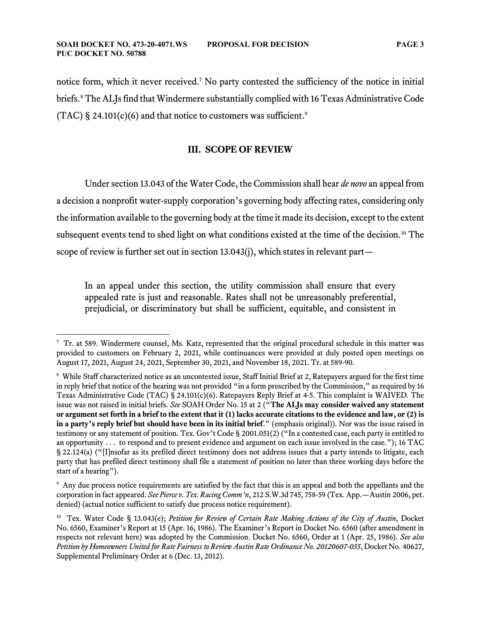notice form, which it never received. [7](#page-3-0) No party contested the sufficiency of the notice in initial briefs.<sup>[8](#page-3-1)</sup> The ALJs find that Windermere substantially complied with 16 Texas Administrative Code (TAC) § 24.101(c)(6) and that notice to customers was sufficient.<sup>[9](#page-3-2)</sup>

#### **III. SCOPE OF REVIEW**

Under section 13.043 of the Water Code, the Commission shall hear *de novo* an appeal from a decision a nonprofit water-supply corporation's governing body affecting rates, considering only the information available to the governing body at the time it made its decision, except to the extent subsequent events tend to shed light on what conditions existed at the time of the decision.<sup>[10](#page-3-3)</sup> The scope of review is further set out in section 13.043(j), which states in relevant part—

In an appeal under this section, the utility commission shall ensure that every appealed rate is just and reasonable. Rates shall not be unreasonably preferential, prejudicial, or discriminatory but shall be sufficient, equitable, and consistent in

<span id="page-3-0"></span><sup>7</sup> Tr. at 589. Windermere counsel, Ms. Katz, represented that the original procedural schedule in this matter was provided to customers on February 2, 2021, while continuances were provided at duly posted open meetings on August 17, 2021, August 24, 2021, September 30, 2021, and November 18, 2021. Tr. at 589-90.

<span id="page-3-1"></span><sup>&</sup>lt;sup>8</sup> While Staff characterized notice as an uncontested issue, Staff Initial Brief at 2, Ratepayers argued for the first time in reply brief that notice of the hearing was not provided "in a form prescribed by the Commission," as required by 16 Texas Administrative Code (TAC) § 24.101(c)(6). Ratepayers Reply Brief at 4-5. This complaint is WAIVED. The issue was not raised in initial briefs. *See* SOAH Order No. 15 at 2 ("**The ALJs may consider waived any statement or argument set forth in a brief to the extent that it (1) lacks accurate citations to the evidence and law, or (2) is in a party's reply brief but should have been in its initial brief**." (emphasis original)). Nor was the issue raised in testimony or any statement of position. Tex. Gov't Code § 2001.051(2) ("In a contested case, each party is entitled to an opportunity . . . to respond and to present evidence and argument on each issue involved in the case."); 16 TAC § 22.124(a) ("[I]nsofar as its prefiled direct testimony does not address issues that a party intends to litigate, each party that has prefiled direct testimony shall file a statement of position no later than three working days before the start of a hearing").

<span id="page-3-2"></span><sup>9</sup> Any due process notice requirements are satisfied by the fact that this is an appeal and both the appellants and the corporation in fact appeared. *See Pierce v. Tex. Racing Comm'n*, 212 S.W.3d 745, 758-59 (Tex. App.—Austin 2006, pet. denied) (actual notice sufficient to satisfy due process notice requirement).

<span id="page-3-3"></span><sup>10</sup> Tex. Water Code § 13.043(e); *Petition for Review of Certain Rate Making Actions of the City of Austin*, Docket No. 6560, Examiner's Report at 15 (Apr. 16, 1986). The Examiner's Report in Docket No. 6560 (after amendment in respects not relevant here) was adopted by the Commission. Docket No. 6560, Order at 1 (Apr. 25, 1986). *See also Petition by Homeowners United for Rate Fairness to Review Austin Rate Ordinance No. 20120607-055*, Docket No. 40627, Supplemental Preliminary Order at 6 (Dec. 13, 2012).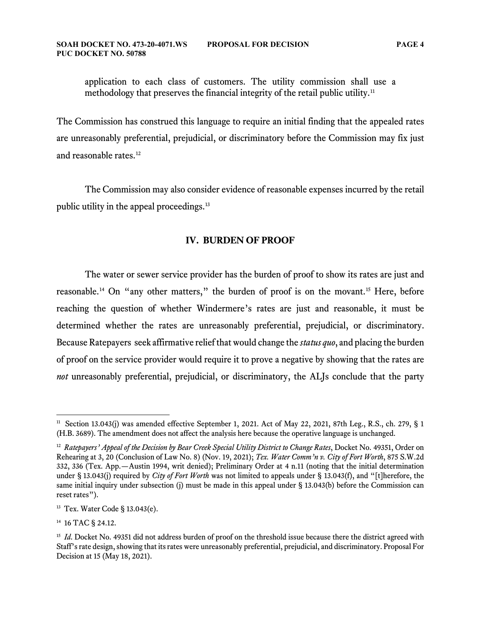application to each class of customers. The utility commission shall use a methodology that preserves the financial integrity of the retail public utility. $^{\rm 11}$  $^{\rm 11}$  $^{\rm 11}$ 

The Commission has construed this language to require an initial finding that the appealed rates are unreasonably preferential, prejudicial, or discriminatory before the Commission may fix just and reasonable rates.<sup>[12](#page-4-1)</sup>

The Commission may also consider evidence of reasonable expenses incurred by the retail public utility in the appeal proceedings.<sup>[13](#page-4-2)</sup>

### **IV. BURDEN OF PROOF**

The water or sewer service provider has the burden of proof to show its rates are just and reasonable.<sup>[14](#page-4-3)</sup> On "any other matters," the burden of proof is on the movant.<sup>[15](#page-4-4)</sup> Here, before reaching the question of whether Windermere's rates are just and reasonable, it must be determined whether the rates are unreasonably preferential, prejudicial, or discriminatory. Because Ratepayers seek affirmative relief that would change the *status quo*, and placing the burden of proof on the service provider would require it to prove a negative by showing that the rates are *not* unreasonably preferential, prejudicial, or discriminatory, the ALJs conclude that the party

<span id="page-4-0"></span><sup>&</sup>lt;sup>11</sup> Section 13.043(j) was amended effective September 1, 2021. Act of May 22, 2021, 87th Leg., R.S., ch. 279, § 1 (H.B. 3689). The amendment does not affect the analysis here because the operative language is unchanged.

<span id="page-4-1"></span><sup>12</sup> *Ratepayers' Appeal of the Decision by Bear Creek Special Utility District to Change Rates*, Docket No. 49351, Order on Rehearing at 3, 20 (Conclusion of Law No. 8) (Nov. 19, 2021); *Tex. Water Comm'n v. City of Fort Worth*, 875 S.W.2d 332, 336 (Tex. App.—Austin 1994, writ denied); Preliminary Order at 4 n.11 (noting that the initial determination under § 13.043(j) required by *City of Fort Worth* was not limited to appeals under § 13.043(f), and "[t]herefore, the same initial inquiry under subsection (j) must be made in this appeal under § 13.043(b) before the Commission can reset rates").

<span id="page-4-2"></span><sup>13</sup> Tex. Water Code § 13.043(e).

<span id="page-4-3"></span><sup>&</sup>lt;sup>14</sup> 16 TAC § 24.12.

<span id="page-4-4"></span><sup>&</sup>lt;sup>15</sup> *Id.* Docket No. 49351 did not address burden of proof on the threshold issue because there the district agreed with Staff's rate design, showing that its rates were unreasonably preferential, prejudicial, and discriminatory. Proposal For Decision at 15 (May 18, 2021).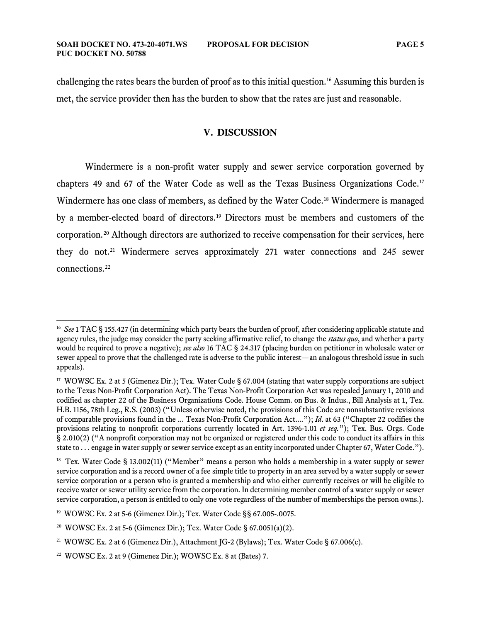challenging the rates bears the burden of proof as to this initial question.[16](#page-5-0) Assuming this burden is met, the service provider then has the burden to show that the rates are just and reasonable.

#### **V. DISCUSSION**

Windermere is a non-profit water supply and sewer service corporation governed by chapters 49 and 67 of the Water Code as well as the Texas Business Organizations Code. [17](#page-5-1) Windermere has one class of members, as defined by the Water Code.[18](#page-5-2) Windermere is managed by a member-elected board of directors. [19](#page-5-3) Directors must be members and customers of the corporation. [20](#page-5-4) Although directors are authorized to receive compensation for their services, here they do not. [21](#page-5-5) Windermere serves approximately 271 water connections and 245 sewer connections. [22](#page-5-6)

<span id="page-5-0"></span><sup>16</sup> *See* 1 TAC § 155.427 (in determining which party bears the burden of proof, after considering applicable statute and agency rules, the judge may consider the party seeking affirmative relief, to change the *status quo*, and whether a party would be required to prove a negative); *see also* 16 TAC § 24.317 (placing burden on petitioner in wholesale water or sewer appeal to prove that the challenged rate is adverse to the public interest—an analogous threshold issue in such appeals).

<span id="page-5-1"></span><sup>&</sup>lt;sup>17</sup> WOWSC Ex. 2 at 5 (Gimenez Dir.); Tex. Water Code § 67.004 (stating that water supply corporations are subject to the Texas Non-Profit Corporation Act). The Texas Non-Profit Corporation Act was repealed January 1, 2010 and codified as chapter 22 of the Business Organizations Code. House Comm. on Bus. & Indus., Bill Analysis at 1, Tex. H.B. 1156, 78th Leg., R.S. (2003) ("Unless otherwise noted, the provisions of this Code are nonsubstantive revisions of comparable provisions found in the ... Texas Non-Profit Corporation Act...."); *Id*. at 63 ("Chapter 22 codifies the provisions relating to nonprofit corporations currently located in Art. 1396-1.01 *et seq.*"); Tex. Bus. Orgs. Code § 2.010(2) ("A nonprofit corporation may not be organized or registered under this code to conduct its affairs in this state to  $\dots$  engage in water supply or sewer service except as an entity incorporated under Chapter 67, Water Code.").

<span id="page-5-2"></span><sup>&</sup>lt;sup>18</sup> Tex. Water Code § 13.002(11) ("Member" means a person who holds a membership in a water supply or sewer service corporation and is a record owner of a fee simple title to property in an area served by a water supply or sewer service corporation or a person who is granted a membership and who either currently receives or will be eligible to receive water or sewer utility service from the corporation. In determining member control of a water supply or sewer service corporation, a person is entitled to only one vote regardless of the number of memberships the person owns.).

<span id="page-5-3"></span><sup>19</sup> WOWSC Ex. 2 at 5-6 (Gimenez Dir.); Tex. Water Code §§ 67.005-.0075.

<span id="page-5-4"></span><sup>20</sup> WOWSC Ex. 2 at 5-6 (Gimenez Dir.); Tex. Water Code § 67.0051(a)(2).

<span id="page-5-5"></span><sup>21</sup> WOWSC Ex. 2 at 6 (Gimenez Dir.), Attachment JG-2 (Bylaws); Tex. Water Code § 67.006(c).

<span id="page-5-6"></span><sup>22</sup> WOWSC Ex. 2 at 9 (Gimenez Dir.); WOWSC Ex. 8 at (Bates) 7.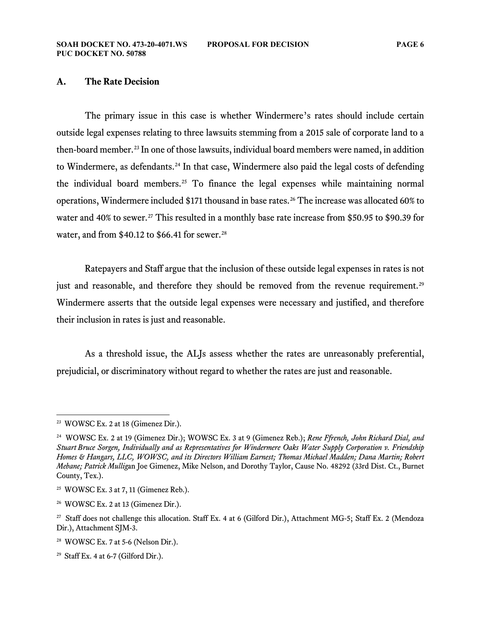#### **A. The Rate Decision**

The primary issue in this case is whether Windermere's rates should include certain outside legal expenses relating to three lawsuits stemming from a 2015 sale of corporate land to a then-board member. [23](#page-6-0) In one of those lawsuits, individual board members were named, in addition to Windermere, as defendants.<sup>[24](#page-6-1)</sup> In that case, Windermere also paid the legal costs of defending the individual board members.[25](#page-6-2) To finance the legal expenses while maintaining normal operations, Windermere included \$171 thousand in base rates.[26](#page-6-3) The increase was allocated 60% to water and 40% to sewer. [27](#page-6-4) This resulted in a monthly base rate increase from \$50.95 to \$90.39 for water, and from  $$40.12$  to  $$66.41$  for sewer.<sup>[28](#page-6-5)</sup>

Ratepayers and Staff argue that the inclusion of these outside legal expenses in rates is not just and reasonable, and therefore they should be removed from the revenue requirement.<sup>[29](#page-6-6)</sup> Windermere asserts that the outside legal expenses were necessary and justified, and therefore their inclusion in rates is just and reasonable.

As a threshold issue, the ALJs assess whether the rates are unreasonably preferential, prejudicial, or discriminatory without regard to whether the rates are just and reasonable.

<span id="page-6-0"></span><sup>23</sup> WOWSC Ex. 2 at 18 (Gimenez Dir.).

<span id="page-6-1"></span><sup>24</sup> WOWSC Ex. 2 at 19 (Gimenez Dir.); WOWSC Ex. 3 at 9 (Gimenez Reb.); *Rene Ffrench, John Richard Dial, and Stuart Bruce Sorgen, Individually and as Representatives for Windermere Oaks Water Supply Corporation v. Friendship Homes & Hangars, LLC, WOWSC, and its Directors William Earnest; Thomas Michael Madden; Dana Martin; Robert Mebane; Patrick Mullig*an Joe Gimenez, Mike Nelson, and Dorothy Taylor, Cause No. 48292 (33rd Dist. Ct., Burnet County, Tex.).

<span id="page-6-2"></span> $25$  WOWSC Ex. 3 at 7, 11 (Gimenez Reb.).

<span id="page-6-3"></span> $26$  WOWSC Ex. 2 at 13 (Gimenez Dir.).

<span id="page-6-4"></span><sup>&</sup>lt;sup>27</sup> Staff does not challenge this allocation. Staff Ex. 4 at 6 (Gilford Dir.), Attachment MG-5; Staff Ex. 2 (Mendoza Dir.), Attachment SJM-3.

<span id="page-6-5"></span><sup>28</sup> WOWSC Ex. 7 at 5-6 (Nelson Dir.).

<span id="page-6-6"></span><sup>&</sup>lt;sup>29</sup> Staff Ex. 4 at 6-7 (Gilford Dir.).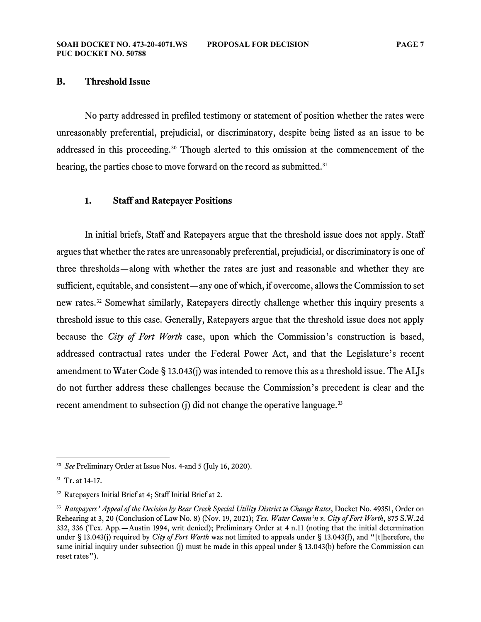#### **B. Threshold Issue**

No party addressed in prefiled testimony or statement of position whether the rates were unreasonably preferential, prejudicial, or discriminatory, despite being listed as an issue to be addressed in this proceeding.<sup>[30](#page-7-0)</sup> Though alerted to this omission at the commencement of the hearing, the parties chose to move forward on the record as submitted. [31](#page-7-1)

# **1. Staff and Ratepayer Positions**

In initial briefs, Staff and Ratepayers argue that the threshold issue does not apply. Staff argues that whether the rates are unreasonably preferential, prejudicial, or discriminatory is one of three thresholds—along with whether the rates are just and reasonable and whether they are sufficient, equitable, and consistent—any one of which, if overcome, allows the Commission to set new rates.<sup>[32](#page-7-2)</sup> Somewhat similarly, Ratepayers directly challenge whether this inquiry presents a threshold issue to this case. Generally, Ratepayers argue that the threshold issue does not apply because the *City of Fort Worth* case, upon which the Commission's construction is based, addressed contractual rates under the Federal Power Act, and that the Legislature's recent amendment to Water Code § 13.043(j) was intended to remove this as a threshold issue. The ALJs do not further address these challenges because the Commission's precedent is clear and the recent amendment to subsection (j) did not change the operative language.<sup>[33](#page-7-3)</sup>

<span id="page-7-0"></span><sup>30</sup> *See* Preliminary Order at Issue Nos. 4-and 5 (July 16, 2020).

<span id="page-7-1"></span><sup>31</sup> Tr. at 14-17.

<span id="page-7-2"></span><sup>32</sup> Ratepayers Initial Brief at 4; Staff Initial Brief at 2.

<span id="page-7-3"></span><sup>33</sup> *Ratepayers' Appeal of the Decision by Bear Creek Special Utility District to Change Rates*, Docket No. 49351, Order on Rehearing at 3, 20 (Conclusion of Law No. 8) (Nov. 19, 2021); *Tex. Water Comm'n v. City of Fort Worth*, 875 S.W.2d 332, 336 (Tex. App.—Austin 1994, writ denied); Preliminary Order at 4 n.11 (noting that the initial determination under § 13.043(j) required by *City of Fort Worth* was not limited to appeals under § 13.043(f), and "[t]herefore, the same initial inquiry under subsection (j) must be made in this appeal under § 13.043(b) before the Commission can reset rates").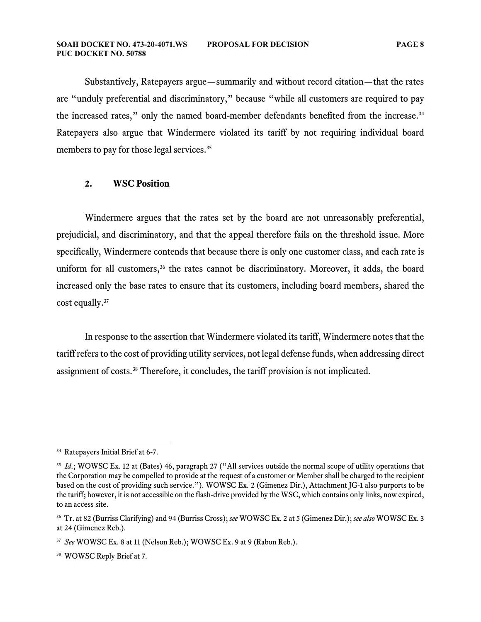#### **SOAH DOCKET NO. 473-20-4071.WS PROPOSAL FOR DECISION PAGE 8 PUC DOCKET NO. 50788**

Substantively, Ratepayers argue—summarily and without record citation—that the rates are "unduly preferential and discriminatory," because "while all customers are required to pay the increased rates," only the named board-member defendants benefited from the increase. [34](#page-8-0) Ratepayers also argue that Windermere violated its tariff by not requiring individual board members to pay for those legal services. [35](#page-8-1)

# **2. WSC Position**

Windermere argues that the rates set by the board are not unreasonably preferential, prejudicial, and discriminatory, and that the appeal therefore fails on the threshold issue. More specifically, Windermere contends that because there is only one customer class, and each rate is uniform for all customers,<sup>[36](#page-8-2)</sup> the rates cannot be discriminatory. Moreover, it adds, the board increased only the base rates to ensure that its customers, including board members, shared the cost equally. [37](#page-8-3)

In response to the assertion that Windermere violated its tariff, Windermere notes that the tariff refers to the cost of providing utility services, not legal defense funds, when addressing direct assignment of costs.[38](#page-8-4) Therefore, it concludes, the tariff provision is not implicated.

<span id="page-8-0"></span><sup>&</sup>lt;sup>34</sup> Ratepayers Initial Brief at 6-7.

<span id="page-8-1"></span><sup>&</sup>lt;sup>35</sup> *Id.*; WOWSC Ex. 12 at (Bates) 46, paragraph 27 ("All services outside the normal scope of utility operations that the Corporation may be compelled to provide at the request of a customer or Member shall be charged to the recipient based on the cost of providing such service."). WOWSC Ex. 2 (Gimenez Dir.), Attachment JG-1 also purports to be the tariff; however, it is not accessible on the flash-drive provided by the WSC, which contains only links, now expired, to an access site.

<span id="page-8-2"></span><sup>36</sup> Tr. at 82 (Burriss Clarifying) and 94 (Burriss Cross); *see* WOWSC Ex. 2 at 5 (Gimenez Dir.); *see also* WOWSC Ex. 3 at 24 (Gimenez Reb.).

<span id="page-8-3"></span><sup>37</sup> *See* WOWSC Ex. 8 at 11 (Nelson Reb.); WOWSC Ex. 9 at 9 (Rabon Reb.).

<span id="page-8-4"></span><sup>&</sup>lt;sup>38</sup> WOWSC Reply Brief at 7.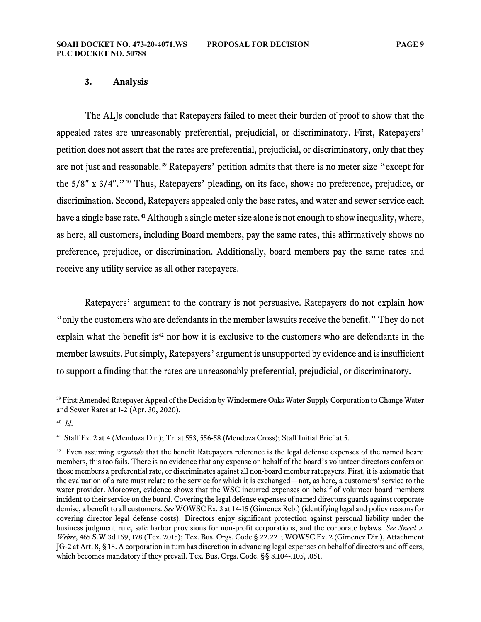#### **3. Analysis**

The ALJs conclude that Ratepayers failed to meet their burden of proof to show that the appealed rates are unreasonably preferential, prejudicial, or discriminatory. First, Ratepayers' petition does not assert that the rates are preferential, prejudicial, or discriminatory, only that they are not just and reasonable.[39](#page-9-0) Ratepayers' petition admits that there is no meter size "except for the 5/8" x 3/4"."<sup>[40](#page-9-1)</sup> Thus, Ratepayers' pleading, on its face, shows no preference, prejudice, or discrimination. Second, Ratepayers appealed only the base rates, and water and sewer service each have a single base rate.<sup>[41](#page-9-2)</sup> Although a single meter size alone is not enough to show inequality, where, as here, all customers, including Board members, pay the same rates, this affirmatively shows no preference, prejudice, or discrimination. Additionally, board members pay the same rates and receive any utility service as all other ratepayers.

Ratepayers' argument to the contrary is not persuasive. Ratepayers do not explain how "only the customers who are defendants in the member lawsuits receive the benefit." They do not explain what the benefit is<sup>[42](#page-9-3)</sup> nor how it is exclusive to the customers who are defendants in the member lawsuits. Put simply, Ratepayers' argument is unsupported by evidence and is insufficient to support a finding that the rates are unreasonably preferential, prejudicial, or discriminatory.

<span id="page-9-0"></span><sup>&</sup>lt;sup>39</sup> First Amended Ratepayer Appeal of the Decision by Windermere Oaks Water Supply Corporation to Change Water and Sewer Rates at 1-2 (Apr. 30, 2020).

<span id="page-9-1"></span><sup>40</sup> *Id*.

<span id="page-9-2"></span><sup>41</sup> Staff Ex. 2 at 4 (Mendoza Dir.); Tr. at 553, 556-58 (Mendoza Cross); Staff Initial Brief at 5.

<span id="page-9-3"></span><sup>42</sup> Even assuming *arguendo* that the benefit Ratepayers reference is the legal defense expenses of the named board members, this too fails. There is no evidence that any expense on behalf of the board's volunteer directors confers on those members a preferential rate, or discriminates against all non-board member ratepayers. First, it is axiomatic that the evaluation of a rate must relate to the service for which it is exchanged—not, as here, a customers' service to the water provider. Moreover, evidence shows that the WSC incurred expenses on behalf of volunteer board members incident to their service on the board. Covering the legal defense expenses of named directors guards against corporate demise, a benefit to all customers. *See* WOWSC Ex. 3 at 14-15 (Gimenez Reb.) (identifying legal and policy reasons for covering director legal defense costs). Directors enjoy significant protection against personal liability under the business judgment rule, safe harbor provisions for non-profit corporations, and the corporate bylaws. *See Sneed v. Webre*, 465 S.W.3d 169, 178 (Tex. 2015); Tex. Bus. Orgs. Code § 22.221; WOWSC Ex. 2 (Gimenez Dir.), Attachment JG-2 at Art. 8, § 18. A corporation in turn has discretion in advancing legal expenses on behalf of directors and officers, which becomes mandatory if they prevail. Tex. Bus. Orgs. Code. §§ 8.104-.105, .051.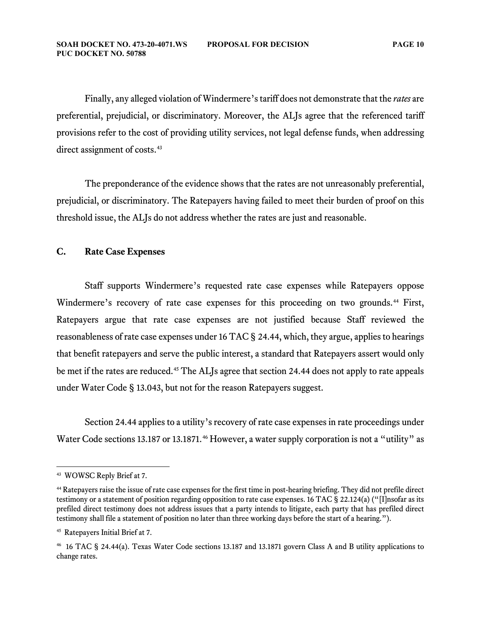Finally, any alleged violation of Windermere'stariff does not demonstrate that the *rates* are preferential, prejudicial, or discriminatory. Moreover, the ALJs agree that the referenced tariff provisions refer to the cost of providing utility services, not legal defense funds, when addressing direct assignment of costs.<sup>[43](#page-10-0)</sup>

The preponderance of the evidence shows that the rates are not unreasonably preferential, prejudicial, or discriminatory. The Ratepayers having failed to meet their burden of proof on this threshold issue, the ALJs do not address whether the rates are just and reasonable.

#### **C. Rate Case Expenses**

Staff supports Windermere's requested rate case expenses while Ratepayers oppose Windermere's recovery of rate case expenses for this proceeding on two grounds.<sup>[44](#page-10-1)</sup> First, Ratepayers argue that rate case expenses are not justified because Staff reviewed the reasonableness of rate case expenses under 16 TAC § 24.44, which, they argue, applies to hearings that benefit ratepayers and serve the public interest, a standard that Ratepayers assert would only be met if the rates are reduced.<sup>[45](#page-10-2)</sup> The ALJs agree that section 24.44 does not apply to rate appeals under Water Code § 13.043, but not for the reason Ratepayers suggest.

Section 24.44 applies to a utility's recovery of rate case expenses in rate proceedings under Water Code sections 13.187 or 13.1871.<sup>[46](#page-10-3)</sup> However, a water supply corporation is not a "utility" as

<span id="page-10-0"></span><sup>43</sup> WOWSC Reply Brief at 7.

<span id="page-10-1"></span><sup>44</sup> Ratepayers raise the issue of rate case expenses for the first time in post-hearing briefing. They did not prefile direct testimony or a statement of position regarding opposition to rate case expenses. 16 TAC § 22.124(a) ("[I]nsofar as its prefiled direct testimony does not address issues that a party intends to litigate, each party that has prefiled direct testimony shall file a statement of position no later than three working days before the start of a hearing.").

<span id="page-10-2"></span><sup>45</sup> Ratepayers Initial Brief at 7.

<span id="page-10-3"></span><sup>46</sup> 16 TAC § 24.44(a). Texas Water Code sections 13.187 and 13.1871 govern Class A and B utility applications to change rates.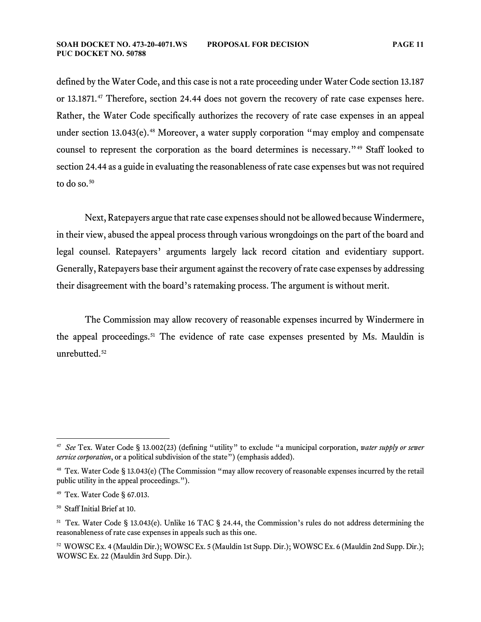defined by the Water Code, and this case is not a rate proceeding under Water Code section 13.187 or 13.1871.<sup>[47](#page-11-0)</sup> Therefore, section 24.44 does not govern the recovery of rate case expenses here. Rather, the Water Code specifically authorizes the recovery of rate case expenses in an appeal under section 13.043 $(e)$ .<sup>[48](#page-11-1)</sup> Moreover, a water supply corporation "may employ and compensate counsel to represent the corporation as the board determines is necessary."[49](#page-11-2) Staff looked to section 24.44 as a guide in evaluating the reasonableness of rate case expenses but was not required to do so. [50](#page-11-3)

Next, Ratepayers argue that rate case expenses should not be allowed because Windermere, in their view, abused the appeal process through various wrongdoings on the part of the board and legal counsel. Ratepayers' arguments largely lack record citation and evidentiary support. Generally, Ratepayers base their argument against the recovery of rate case expenses by addressing their disagreement with the board's ratemaking process. The argument is without merit.

The Commission may allow recovery of reasonable expenses incurred by Windermere in the appeal proceedings.<sup>[51](#page-11-4)</sup> The evidence of rate case expenses presented by Ms. Mauldin is unrebutted.<sup>[52](#page-11-5)</sup>

<span id="page-11-0"></span><sup>47</sup> *See* Tex. Water Code § 13.002(23) (defining "utility" to exclude "a municipal corporation, *water supply or sewer service corporation*, or a political subdivision of the state") (emphasis added).

<span id="page-11-1"></span><sup>48</sup> Tex. Water Code § 13.043(e) (The Commission "may allow recovery of reasonable expenses incurred by the retail public utility in the appeal proceedings.").

<span id="page-11-2"></span><sup>49</sup> Tex. Water Code § 67.013.

<span id="page-11-3"></span><sup>50</sup> Staff Initial Brief at 10.

<span id="page-11-4"></span><sup>51</sup> Tex. Water Code § 13.043(e). Unlike 16 TAC § 24.44, the Commission's rules do not address determining the reasonableness of rate case expenses in appeals such as this one.

<span id="page-11-5"></span><sup>52</sup> WOWSC Ex. 4 (Mauldin Dir.); WOWSC Ex. 5 (Mauldin 1st Supp. Dir.); WOWSC Ex. 6 (Mauldin 2nd Supp. Dir.); WOWSC Ex. 22 (Mauldin 3rd Supp. Dir.).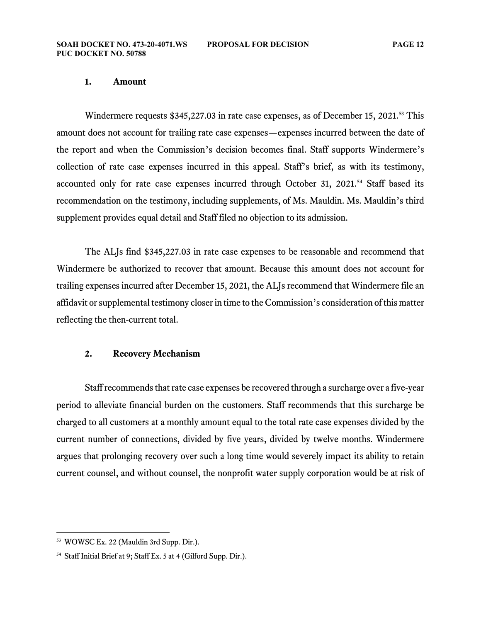#### **1. Amount**

Windermere requests \$345,227.03 in rate case expenses, as of December 15, 2021.<sup>[53](#page-12-0)</sup> This amount does not account for trailing rate case expenses—expenses incurred between the date of the report and when the Commission's decision becomes final. Staff supports Windermere's collection of rate case expenses incurred in this appeal. Staff's brief, as with its testimony, accounted only for rate case expenses incurred through October 31, 2021.<sup>[54](#page-12-1)</sup> Staff based its recommendation on the testimony, including supplements, of Ms. Mauldin. Ms. Mauldin's third supplement provides equal detail and Staff filed no objection to its admission.

The ALJs find \$345,227.03 in rate case expenses to be reasonable and recommend that Windermere be authorized to recover that amount. Because this amount does not account for trailing expenses incurred after December 15, 2021, the ALJs recommend that Windermere file an affidavit or supplemental testimony closer in time to the Commission's consideration of this matter reflecting the then-current total.

#### **2. Recovery Mechanism**

Staff recommends that rate case expenses be recovered through a surcharge over a five-year period to alleviate financial burden on the customers. Staff recommends that this surcharge be charged to all customers at a monthly amount equal to the total rate case expenses divided by the current number of connections, divided by five years, divided by twelve months. Windermere argues that prolonging recovery over such a long time would severely impact its ability to retain current counsel, and without counsel, the nonprofit water supply corporation would be at risk of

<span id="page-12-0"></span><sup>53</sup> WOWSC Ex. 22 (Mauldin 3rd Supp. Dir.).

<span id="page-12-1"></span><sup>54</sup> Staff Initial Brief at 9; Staff Ex. 5 at 4 (Gilford Supp. Dir.).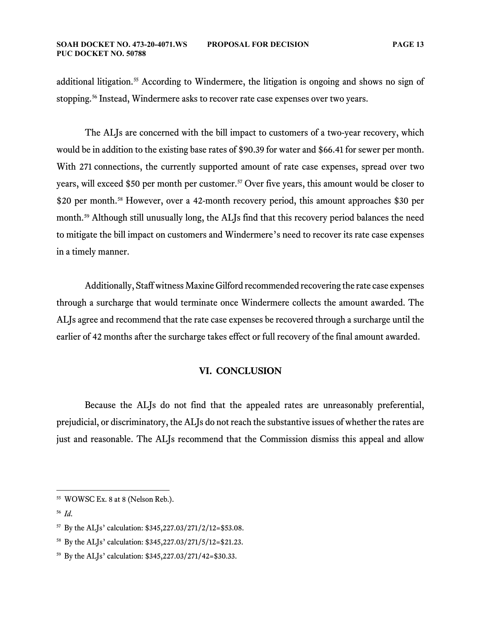additional litigation.<sup>[55](#page-13-0)</sup> According to Windermere, the litigation is ongoing and shows no sign of stopping.<sup>[56](#page-13-1)</sup> Instead, Windermere asks to recover rate case expenses over two years.

The ALJs are concerned with the bill impact to customers of a two-year recovery, which would be in addition to the existing base rates of \$90.39 for water and \$66.41 for sewer per month. With 271 connections, the currently supported amount of rate case expenses, spread over two years, will exceed \$50 per month per customer.<sup>[57](#page-13-2)</sup> Over five years, this amount would be closer to \$20 per month.[58](#page-13-3) However, over a 42-month recovery period, this amount approaches \$30 per month.<sup>[59](#page-13-4)</sup> Although still unusually long, the ALJs find that this recovery period balances the need to mitigate the bill impact on customers and Windermere's need to recover its rate case expenses in a timely manner.

Additionally, Staff witness Maxine Gilford recommended recovering the rate case expenses through a surcharge that would terminate once Windermere collects the amount awarded. The ALJs agree and recommend that the rate case expenses be recovered through a surcharge until the earlier of 42 months after the surcharge takes effect or full recovery of the final amount awarded.

#### **VI. CONCLUSION**

Because the ALJs do not find that the appealed rates are unreasonably preferential, prejudicial, or discriminatory, the ALJs do not reach the substantive issues of whether the rates are just and reasonable. The ALJs recommend that the Commission dismiss this appeal and allow

<span id="page-13-1"></span><sup>56</sup> *Id*.

<span id="page-13-0"></span><sup>55</sup> WOWSC Ex. 8 at 8 (Nelson Reb.).

<span id="page-13-2"></span><sup>57</sup> By the ALJs' calculation: \$345,227.03/271/2/12=\$53.08.

<span id="page-13-3"></span><sup>58</sup> By the ALJs' calculation: \$345,227.03/271/5/12=\$21.23.

<span id="page-13-4"></span><sup>59</sup> By the ALJs' calculation: \$345,227.03/271/42=\$30.33.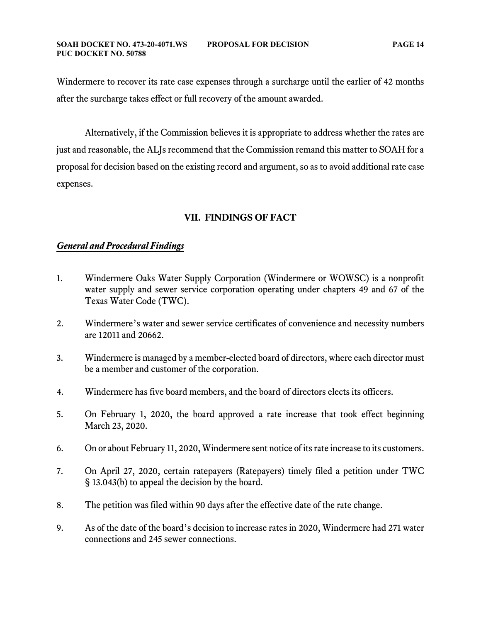Windermere to recover its rate case expenses through a surcharge until the earlier of 42 months after the surcharge takes effect or full recovery of the amount awarded.

Alternatively, if the Commission believes it is appropriate to address whether the rates are just and reasonable, the ALJs recommend that the Commission remand this matter to SOAH for a proposal for decision based on the existing record and argument, so as to avoid additional rate case expenses.

# **VII. FINDINGS OF FACT**

# *General and Procedural Findings*

- 1. Windermere Oaks Water Supply Corporation (Windermere or WOWSC) is a nonprofit water supply and sewer service corporation operating under chapters 49 and 67 of the Texas Water Code (TWC).
- 2. Windermere's water and sewer service certificates of convenience and necessity numbers are 12011 and 20662.
- 3. Windermere is managed by a member-elected board of directors, where each director must be a member and customer of the corporation.
- 4. Windermere has five board members, and the board of directors elects its officers.
- 5. On February 1, 2020, the board approved a rate increase that took effect beginning March 23, 2020.
- 6. On or about February 11, 2020, Windermere sent notice of its rate increase to its customers.
- 7. On April 27, 2020, certain ratepayers (Ratepayers) timely filed a petition under TWC § 13.043(b) to appeal the decision by the board.
- 8. The petition was filed within 90 days after the effective date of the rate change.
- 9. As of the date of the board's decision to increase rates in 2020, Windermere had 271 water connections and 245 sewer connections.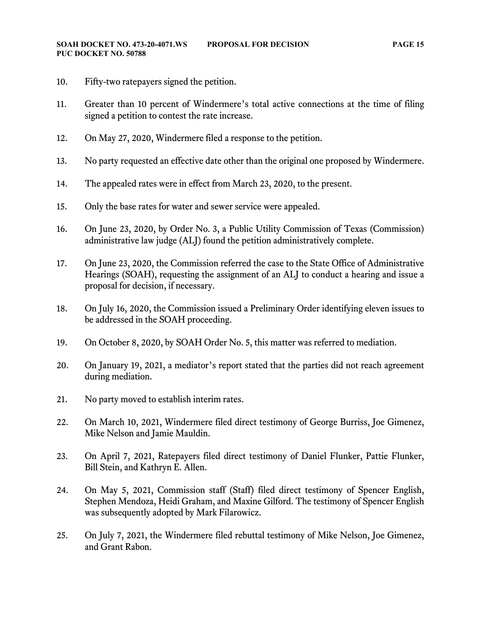- 10. Fifty-two ratepayers signed the petition.
- 11. Greater than 10 percent of Windermere's total active connections at the time of filing signed a petition to contest the rate increase.
- 12. On May 27, 2020, Windermere filed a response to the petition.
- 13. No party requested an effective date other than the original one proposed by Windermere.
- 14. The appealed rates were in effect from March 23, 2020, to the present.
- 15. Only the base rates for water and sewer service were appealed.
- 16. On June 23, 2020, by Order No. 3, a Public Utility Commission of Texas (Commission) administrative law judge (ALJ) found the petition administratively complete.
- 17. On June 23, 2020, the Commission referred the case to the State Office of Administrative Hearings (SOAH), requesting the assignment of an ALJ to conduct a hearing and issue a proposal for decision, if necessary.
- 18. On July 16, 2020, the Commission issued a Preliminary Order identifying eleven issues to be addressed in the SOAH proceeding.
- 19. On October 8, 2020, by SOAH Order No. 5, this matter was referred to mediation.
- 20. On January 19, 2021, a mediator's report stated that the parties did not reach agreement during mediation.
- 21. No party moved to establish interim rates.
- 22. On March 10, 2021, Windermere filed direct testimony of George Burriss, Joe Gimenez, Mike Nelson and Jamie Mauldin.
- 23. On April 7, 2021, Ratepayers filed direct testimony of Daniel Flunker, Pattie Flunker, Bill Stein, and Kathryn E. Allen.
- 24. On May 5, 2021, Commission staff (Staff) filed direct testimony of Spencer English, Stephen Mendoza, Heidi Graham, and Maxine Gilford. The testimony of Spencer English was subsequently adopted by Mark Filarowicz.
- 25. On July 7, 2021, the Windermere filed rebuttal testimony of Mike Nelson, Joe Gimenez, and Grant Rabon.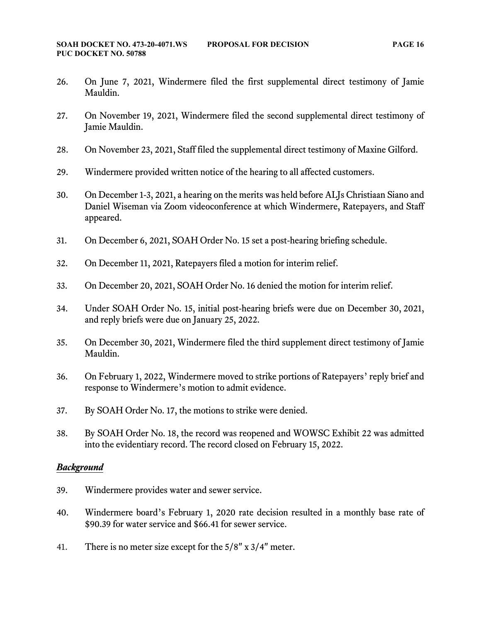- 26. On June 7, 2021, Windermere filed the first supplemental direct testimony of Jamie Mauldin.
- 27. On November 19, 2021, Windermere filed the second supplemental direct testimony of Jamie Mauldin.
- 28. On November 23, 2021, Staff filed the supplemental direct testimony of Maxine Gilford.
- 29. Windermere provided written notice of the hearing to all affected customers.
- 30. On December 1-3, 2021, a hearing on the merits was held before ALJs Christiaan Siano and Daniel Wiseman via Zoom videoconference at which Windermere, Ratepayers, and Staff appeared.
- 31. On December 6, 2021, SOAH Order No. 15 set a post-hearing briefing schedule.
- 32. On December 11, 2021, Ratepayers filed a motion for interim relief.
- 33. On December 20, 2021, SOAH Order No. 16 denied the motion for interim relief.
- 34. Under SOAH Order No. 15, initial post-hearing briefs were due on December 30, 2021, and reply briefs were due on January 25, 2022.
- 35. On December 30, 2021, Windermere filed the third supplement direct testimony of Jamie Mauldin.
- 36. On February 1, 2022, Windermere moved to strike portions of Ratepayers' reply brief and response to Windermere's motion to admit evidence.
- 37. By SOAH Order No. 17, the motions to strike were denied.
- 38. By SOAH Order No. 18, the record was reopened and WOWSC Exhibit 22 was admitted into the evidentiary record. The record closed on February 15, 2022.

#### *Background*

- 39. Windermere provides water and sewer service.
- 40. Windermere board's February 1, 2020 rate decision resulted in a monthly base rate of \$90.39 for water service and \$66.41 for sewer service.
- 41. There is no meter size except for the 5/8" x 3/4" meter.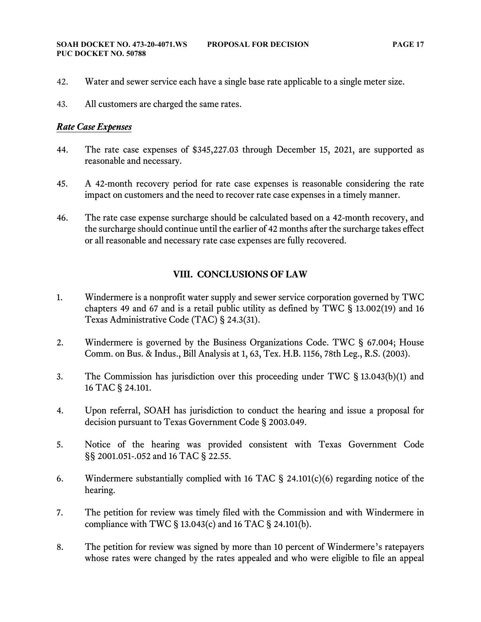- 42. Water and sewer service each have a single base rate applicable to a single meter size.
- 43. All customers are charged the same rates.

# *Rate Case Expenses*

- 44. The rate case expenses of \$345,227.03 through December 15, 2021, are supported as reasonable and necessary.
- 45. A 42-month recovery period for rate case expenses is reasonable considering the rate impact on customers and the need to recover rate case expenses in a timely manner.
- 46. The rate case expense surcharge should be calculated based on a 42-month recovery, and the surcharge should continue until the earlier of 42 months after the surcharge takes effect or all reasonable and necessary rate case expenses are fully recovered.

# **VIII. CONCLUSIONS OF LAW**

- 1. Windermere is a nonprofit water supply and sewer service corporation governed by TWC chapters 49 and 67 and is a retail public utility as defined by TWC § 13.002(19) and 16 Texas Administrative Code (TAC) § 24.3(31).
- 2. Windermere is governed by the Business Organizations Code. TWC § 67.004; House Comm. on Bus. & Indus., Bill Analysis at 1, 63, Tex. H.B. 1156, 78th Leg., R.S. (2003).
- 3. The Commission has jurisdiction over this proceeding under TWC § 13.043(b)(1) and 16 TAC § 24.101.
- 4. Upon referral, SOAH has jurisdiction to conduct the hearing and issue a proposal for decision pursuant to Texas Government Code § 2003.049.
- 5. Notice of the hearing was provided consistent with Texas Government Code §§ 2001.051-.052 and 16 TAC § 22.55.
- 6. Windermere substantially complied with 16 TAC § 24.101(c)(6) regarding notice of the hearing.
- 7. The petition for review was timely filed with the Commission and with Windermere in compliance with TWC § 13.043(c) and 16 TAC § 24.101(b).
- 8. The petition for review was signed by more than 10 percent of Windermere's ratepayers whose rates were changed by the rates appealed and who were eligible to file an appeal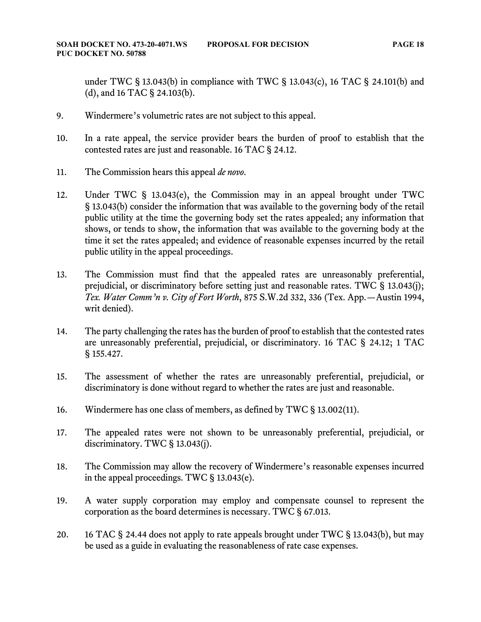under TWC § 13.043(b) in compliance with TWC § 13.043(c), 16 TAC § 24.101(b) and (d), and 16 TAC § 24.103(b).

- 9. Windermere's volumetric rates are not subject to this appeal.
- 10. In a rate appeal, the service provider bears the burden of proof to establish that the contested rates are just and reasonable. 16 TAC § 24.12.
- 11. The Commission hears this appeal *de novo*.
- 12. Under TWC § 13.043(e), the Commission may in an appeal brought under TWC § 13.043(b) consider the information that was available to the governing body of the retail public utility at the time the governing body set the rates appealed; any information that shows, or tends to show, the information that was available to the governing body at the time it set the rates appealed; and evidence of reasonable expenses incurred by the retail public utility in the appeal proceedings.
- 13. The Commission must find that the appealed rates are unreasonably preferential, prejudicial, or discriminatory before setting just and reasonable rates. TWC § 13.043(j); *Tex. Water Comm'n v. City of Fort Worth*, 875 S.W.2d 332, 336 (Tex. App.—Austin 1994, writ denied).
- 14. The party challenging the rates has the burden of proof to establish that the contested rates are unreasonably preferential, prejudicial, or discriminatory. 16 TAC § 24.12; 1 TAC § 155.427.
- 15. The assessment of whether the rates are unreasonably preferential, prejudicial, or discriminatory is done without regard to whether the rates are just and reasonable.
- 16. Windermere has one class of members, as defined by TWC § 13.002(11).
- 17. The appealed rates were not shown to be unreasonably preferential, prejudicial, or discriminatory. TWC § 13.043(j).
- 18. The Commission may allow the recovery of Windermere's reasonable expenses incurred in the appeal proceedings. TWC § 13.043(e).
- 19. A water supply corporation may employ and compensate counsel to represent the corporation as the board determines is necessary. TWC § 67.013.
- 20. 16 TAC § 24.44 does not apply to rate appeals brought under TWC § 13.043(b), but may be used as a guide in evaluating the reasonableness of rate case expenses.